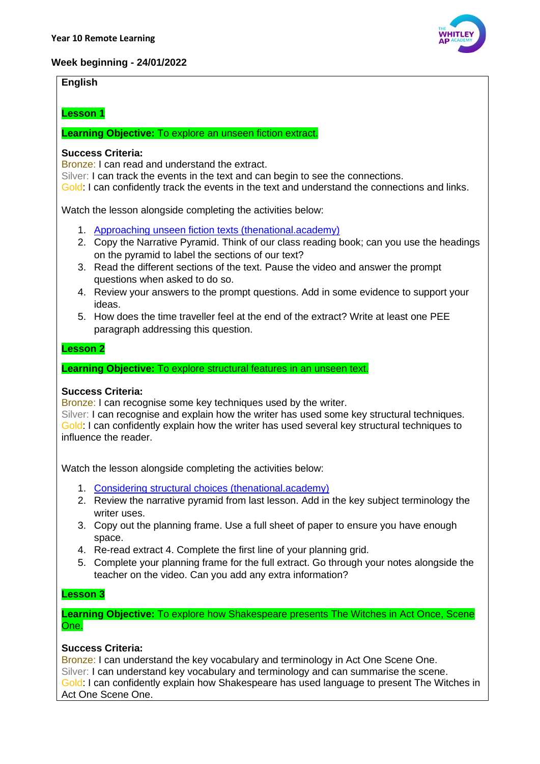# **Week beginning - 24/01/2022**

# **English**

# **Lesson 1**

**Learning Objective:** To explore an unseen fiction extract.

#### **Success Criteria:**

Bronze: I can read and understand the extract.

Silver: I can track the events in the text and can begin to see the connections.

Gold: I can confidently track the events in the text and understand the connections and links.

Watch the lesson alongside completing the activities below:

- 1. [Approaching unseen fiction texts \(thenational.academy\)](https://classroom.thenational.academy/lessons/approaching-unseen-fiction-texts-70upat?activity=video&step=1)
- 2. Copy the Narrative Pyramid. Think of our class reading book; can you use the headings on the pyramid to label the sections of our text?
- 3. Read the different sections of the text. Pause the video and answer the prompt questions when asked to do so.
- 4. Review your answers to the prompt questions. Add in some evidence to support your ideas.
- 5. How does the time traveller feel at the end of the extract? Write at least one PEE paragraph addressing this question.

#### **Lesson 2**

#### **Learning Objective:** To explore structural features in an unseen text.

# **Success Criteria:**

Bronze: I can recognise some key techniques used by the writer.

Silver: I can recognise and explain how the writer has used some key structural techniques. Gold: I can confidently explain how the writer has used several key structural techniques to influence the reader.

Watch the lesson alongside completing the activities below:

- 1. [Considering structural choices \(thenational.academy\)](https://classroom.thenational.academy/lessons/considering-structural-choices-6muk6e?activity=video&step=2&view=1)
- 2. Review the narrative pyramid from last lesson. Add in the key subject terminology the writer uses.
- 3. Copy out the planning frame. Use a full sheet of paper to ensure you have enough space.
- 4. Re-read extract 4. Complete the first line of your planning grid.
- 5. Complete your planning frame for the full extract. Go through your notes alongside the teacher on the video. Can you add any extra information?

### **Lesson 3**

**Learning Objective:** To explore how Shakespeare presents The Witches in Act Once, Scene One.

# **Success Criteria:**

Bronze: I can understand the key vocabulary and terminology in Act One Scene One. Silver: I can understand key vocabulary and terminology and can summarise the scene. Gold: I can confidently explain how Shakespeare has used language to present The Witches in Act One Scene One.

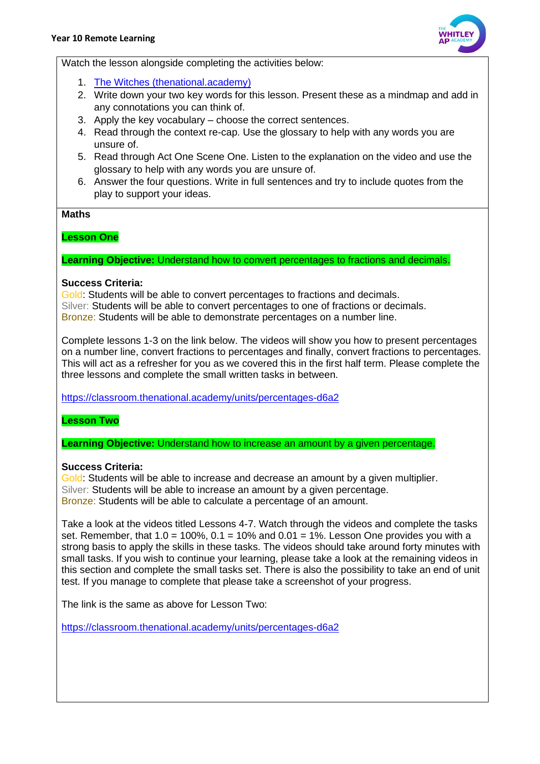

Watch the lesson alongside completing the activities below:

- 1. [The Witches \(thenational.academy\)](https://classroom.thenational.academy/lessons/the-witches-65h3ed?activity=video&step=2&view=1)
- 2. Write down your two key words for this lesson. Present these as a mindmap and add in any connotations you can think of.
- 3. Apply the key vocabulary choose the correct sentences.
- 4. Read through the context re-cap. Use the glossary to help with any words you are unsure of.
- 5. Read through Act One Scene One. Listen to the explanation on the video and use the glossary to help with any words you are unsure of.
- 6. Answer the four questions. Write in full sentences and try to include quotes from the play to support your ideas.

#### **Maths**

# **Lesson One**

**Learning Objective:** Understand how to convert percentages to fractions and decimals.

#### **Success Criteria:**

Gold: Students will be able to convert percentages to fractions and decimals. Silver: Students will be able to convert percentages to one of fractions or decimals. Bronze: Students will be able to demonstrate percentages on a number line.

Complete lessons 1-3 on the link below. The videos will show you how to present percentages on a number line, convert fractions to percentages and finally, convert fractions to percentages. This will act as a refresher for you as we covered this in the first half term. Please complete the three lessons and complete the small written tasks in between.

<https://classroom.thenational.academy/units/percentages-d6a2>

# **Lesson Two**

**Learning Objective:** Understand how to increase an amount by a given percentage.

# **Success Criteria:**

Gold: Students will be able to increase and decrease an amount by a given multiplier. Silver: Students will be able to increase an amount by a given percentage. Bronze: Students will be able to calculate a percentage of an amount.

Take a look at the videos titled Lessons 4-7. Watch through the videos and complete the tasks set. Remember, that  $1.0 = 100\%$ ,  $0.1 = 10\%$  and  $0.01 = 1\%$ . Lesson One provides you with a strong basis to apply the skills in these tasks. The videos should take around forty minutes with small tasks. If you wish to continue your learning, please take a look at the remaining videos in this section and complete the small tasks set. There is also the possibility to take an end of unit test. If you manage to complete that please take a screenshot of your progress.

The link is the same as above for Lesson Two:

<https://classroom.thenational.academy/units/percentages-d6a2>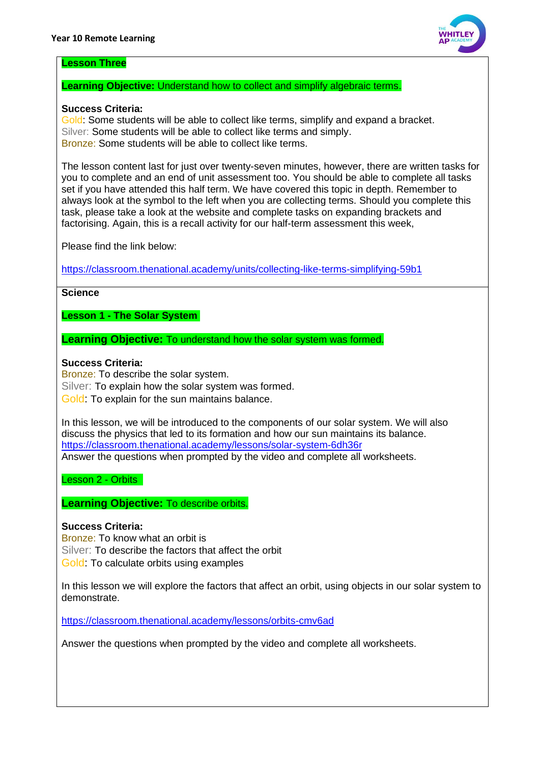

#### **Lesson Three**

# **Learning Objective:** Understand how to collect and simplify algebraic terms.

### **Success Criteria:**

Gold: Some students will be able to collect like terms, simplify and expand a bracket. Silver: Some students will be able to collect like terms and simply. Bronze: Some students will be able to collect like terms.

The lesson content last for just over twenty-seven minutes, however, there are written tasks for you to complete and an end of unit assessment too. You should be able to complete all tasks set if you have attended this half term. We have covered this topic in depth. Remember to always look at the symbol to the left when you are collecting terms. Should you complete this task, please take a look at the website and complete tasks on expanding brackets and factorising. Again, this is a recall activity for our half-term assessment this week,

Please find the link below:

<https://classroom.thenational.academy/units/collecting-like-terms-simplifying-59b1>

#### **Science**

**Lesson 1 - The Solar System**

**Learning Objective:** To understand how the solar system was formed.

# **Success Criteria:**

Bronze: To describe the solar system. Silver: To explain how the solar system was formed. Gold: To explain for the sun maintains balance.

In this lesson, we will be introduced to the components of our solar system. We will also discuss the physics that led to its formation and how our sun maintains its balance. <https://classroom.thenational.academy/lessons/solar-system-6dh36r> Answer the questions when prompted by the video and complete all worksheets.

Lesson 2 - Orbits

**Learning Objective:** To describe orbits.

# **Success Criteria:**

Bronze: To know what an orbit is Silver: To describe the factors that affect the orbit Gold: To calculate orbits using examples

In this lesson we will explore the factors that affect an orbit, using objects in our solar system to demonstrate.

<https://classroom.thenational.academy/lessons/orbits-cmv6ad>

Answer the questions when prompted by the video and complete all worksheets.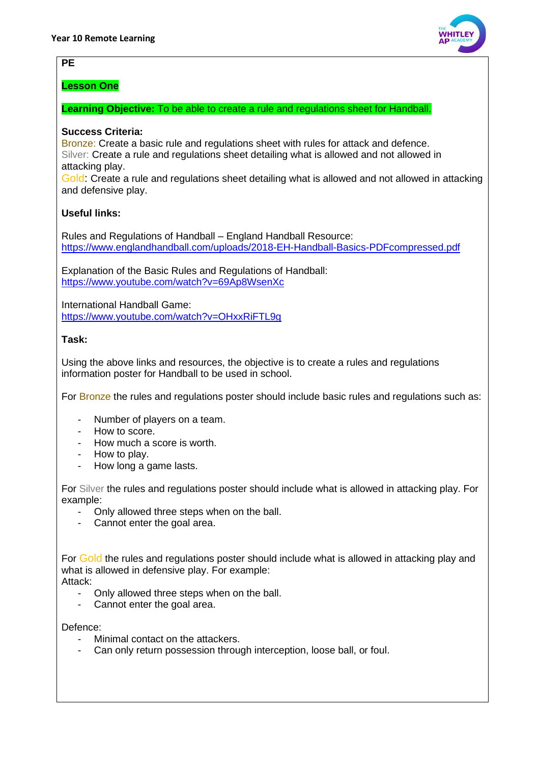# **PE**

**Lesson One**

**Learning Objective:** To be able to create a rule and regulations sheet for Handball.

# **Success Criteria:**

Bronze: Create a basic rule and regulations sheet with rules for attack and defence. Silver: Create a rule and regulations sheet detailing what is allowed and not allowed in attacking play.

Gold: Create a rule and regulations sheet detailing what is allowed and not allowed in attacking and defensive play.

# **Useful links:**

Rules and Regulations of Handball – England Handball Resource: <https://www.englandhandball.com/uploads/2018-EH-Handball-Basics-PDFcompressed.pdf>

Explanation of the Basic Rules and Regulations of Handball: <https://www.youtube.com/watch?v=69Ap8WsenXc>

International Handball Game: <https://www.youtube.com/watch?v=OHxxRiFTL9g>

# **Task:**

Using the above links and resources, the objective is to create a rules and regulations information poster for Handball to be used in school.

For Bronze the rules and regulations poster should include basic rules and regulations such as:

- Number of players on a team.
- How to score.
- How much a score is worth.
- How to play.
- How long a game lasts.

For Silver the rules and regulations poster should include what is allowed in attacking play. For example:

- Only allowed three steps when on the ball.
- Cannot enter the goal area.

For Gold the rules and regulations poster should include what is allowed in attacking play and what is allowed in defensive play. For example:

Attack:

- Only allowed three steps when on the ball.
- Cannot enter the goal area.

Defence:

- Minimal contact on the attackers.
- Can only return possession through interception, loose ball, or foul.

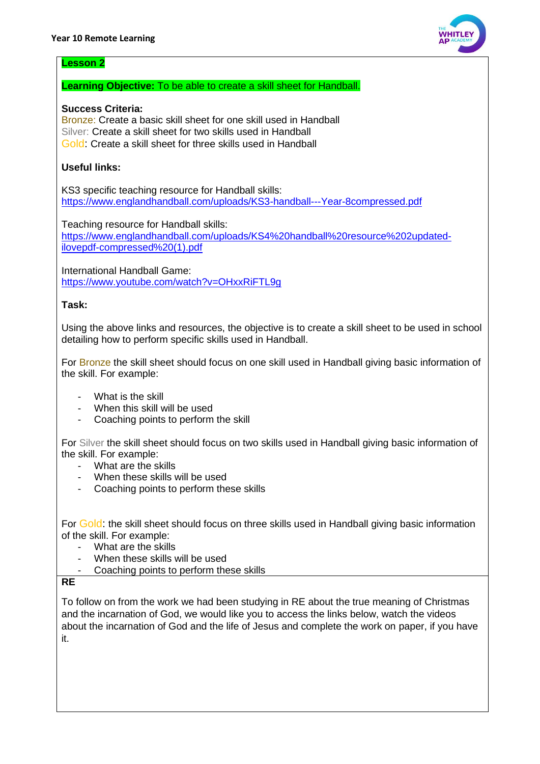

#### **Lesson 2**

# **Learning Objective:** To be able to create a skill sheet for Handball.

# **Success Criteria:**

Bronze: Create a basic skill sheet for one skill used in Handball Silver: Create a skill sheet for two skills used in Handball Gold: Create a skill sheet for three skills used in Handball

# **Useful links:**

KS3 specific teaching resource for Handball skills: <https://www.englandhandball.com/uploads/KS3-handball---Year-8compressed.pdf>

Teaching resource for Handball skills: [https://www.englandhandball.com/uploads/KS4%20handball%20resource%202updated](https://www.englandhandball.com/uploads/KS4%20handball%20resource%202updated-ilovepdf-compressed%20(1).pdf)[ilovepdf-compressed%20\(1\).pdf](https://www.englandhandball.com/uploads/KS4%20handball%20resource%202updated-ilovepdf-compressed%20(1).pdf)

International Handball Game: <https://www.youtube.com/watch?v=OHxxRiFTL9g>

#### **Task:**

Using the above links and resources, the objective is to create a skill sheet to be used in school detailing how to perform specific skills used in Handball.

For Bronze the skill sheet should focus on one skill used in Handball giving basic information of the skill. For example:

- What is the skill
- When this skill will be used
- Coaching points to perform the skill

For Silver the skill sheet should focus on two skills used in Handball giving basic information of the skill. For example:

- What are the skills
- When these skills will be used
- Coaching points to perform these skills

For Gold: the skill sheet should focus on three skills used in Handball giving basic information of the skill. For example:

- What are the skills
- When these skills will be used
- Coaching points to perform these skills

**RE**

To follow on from the work we had been studying in RE about the true meaning of Christmas and the incarnation of God, we would like you to access the links below, watch the videos about the incarnation of God and the life of Jesus and complete the work on paper, if you have it.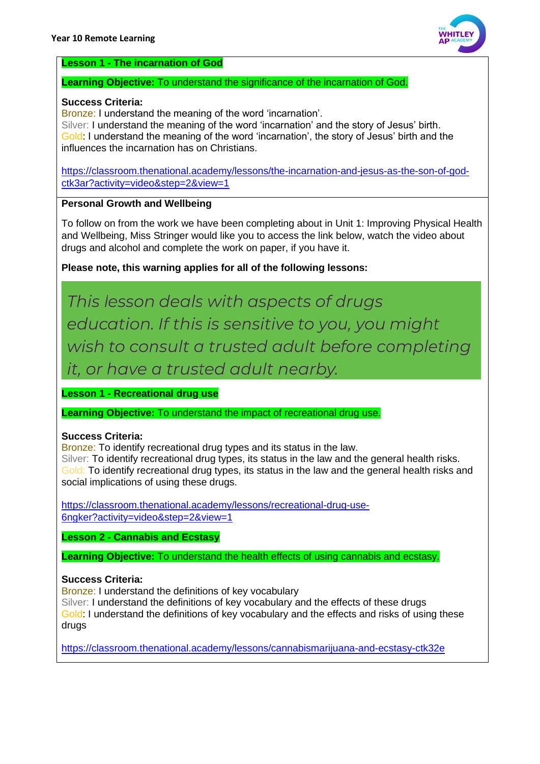

# **Lesson 1 - The incarnation of God**

#### **Learning Objective:** To understand the significance of the incarnation of God.

#### **Success Criteria:**

Bronze: I understand the meaning of the word 'incarnation'.

Silver: I understand the meaning of the word 'incarnation' and the story of Jesus' birth. Gold: I understand the meaning of the word 'incarnation', the story of Jesus' birth and the influences the incarnation has on Christians.

[https://classroom.thenational.academy/lessons/the-incarnation-and-jesus-as-the-son-of-god](https://classroom.thenational.academy/lessons/the-incarnation-and-jesus-as-the-son-of-god-ctk3ar?activity=video&step=2&view=1)[ctk3ar?activity=video&step=2&view=1](https://classroom.thenational.academy/lessons/the-incarnation-and-jesus-as-the-son-of-god-ctk3ar?activity=video&step=2&view=1)

# **Personal Growth and Wellbeing**

To follow on from the work we have been completing about in Unit 1: Improving Physical Health and Wellbeing, Miss Stringer would like you to access the link below, watch the video about drugs and alcohol and complete the work on paper, if you have it.

**Please note, this warning applies for all of the following lessons:**

This lesson deals with aspects of drugs education. If this is sensitive to you, you might wish to consult a trusted adult before completing it, or have a trusted adult nearby.

**Lesson 1 - Recreational drug use**

**Learning Objective:** To understand the impact of recreational drug use.

# **Success Criteria:**

Bronze: To identify recreational drug types and its status in the law. Silver: To identify recreational drug types, its status in the law and the general health risks. Gold: To identify recreational drug types, its status in the law and the general health risks and social implications of using these drugs.

[https://classroom.thenational.academy/lessons/recreational-drug-use-](https://classroom.thenational.academy/lessons/recreational-drug-use-6ngker?activity=video&step=2&view=1)[6ngker?activity=video&step=2&view=1](https://classroom.thenational.academy/lessons/recreational-drug-use-6ngker?activity=video&step=2&view=1) 

**Lesson 2 - Cannabis and Ecstasy** 

**Learning Objective:** To understand the health effects of using cannabis and ecstasy.

# **Success Criteria:**

Bronze: I understand the definitions of key vocabulary

Silver: I understand the definitions of key vocabulary and the effects of these drugs Gold: I understand the definitions of key vocabulary and the effects and risks of using these drugs

<https://classroom.thenational.academy/lessons/cannabismarijuana-and-ecstasy-ctk32e>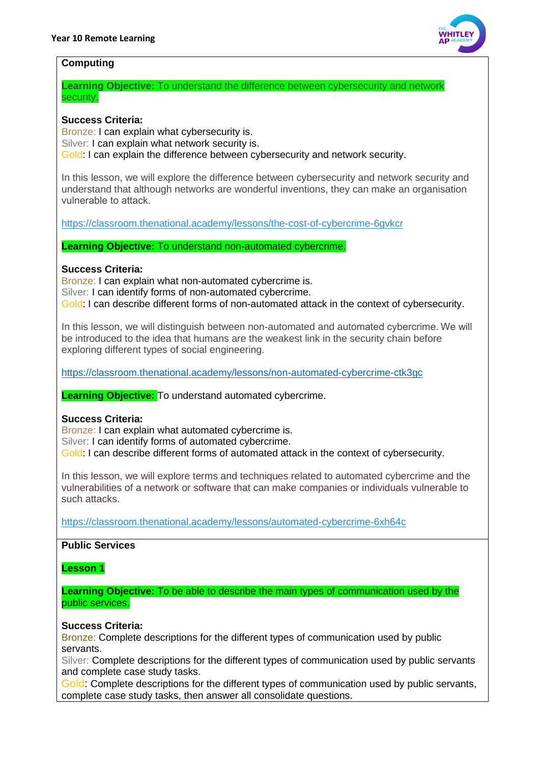

### **Computing**

**Learning Objective:** To understand the difference between cybersecurity and network security.

# **Success Criteria:**

Bronze: I can explain what cybersecurity is. Silver: I can explain what network security is. Gold: I can explain the difference between cybersecurity and network security.

In this lesson, we will explore the difference between cybersecurity and network security and understand that although networks are wonderful inventions, they can make an organisation vulnerable to attack. 

<https://classroom.thenational.academy/lessons/the-cost-of-cybercrime-6gvkcr>

**Learning Objective:** To understand non-automated cybercrime.

# **Success Criteria:**

Bronze: I can explain what non-automated cybercrime is. Silver: I can identify forms of non-automated cybercrime. Gold: I can describe different forms of non-automated attack in the context of cybersecurity.

In this lesson, we will distinguish between non-automated and automated cybercrime. We will be introduced to the idea that humans are the weakest link in the security chain before exploring different types of social engineering.

<https://classroom.thenational.academy/lessons/non-automated-cybercrime-ctk3gc>

**Learning Objective:** To understand automated cybercrime.

# **Success Criteria:**

Bronze: I can explain what automated cybercrime is.

Silver: I can identify forms of automated cybercrime.

Gold: I can describe different forms of automated attack in the context of cybersecurity.

In this lesson, we will explore terms and techniques related to automated cybercrime and the vulnerabilities of a network or software that can make companies or individuals vulnerable to such attacks.

<https://classroom.thenational.academy/lessons/automated-cybercrime-6xh64c>

# **Public Services**

**Lesson 1**

**Learning Objective:** To be able to describe the main types of communication used by the public services.

#### **Success Criteria:**

Bronze: Complete descriptions for the different types of communication used by public servants.

Silver: Complete descriptions for the different types of communication used by public servants and complete case study tasks.

Gold: Complete descriptions for the different types of communication used by public servants, complete case study tasks, then answer all consolidate questions.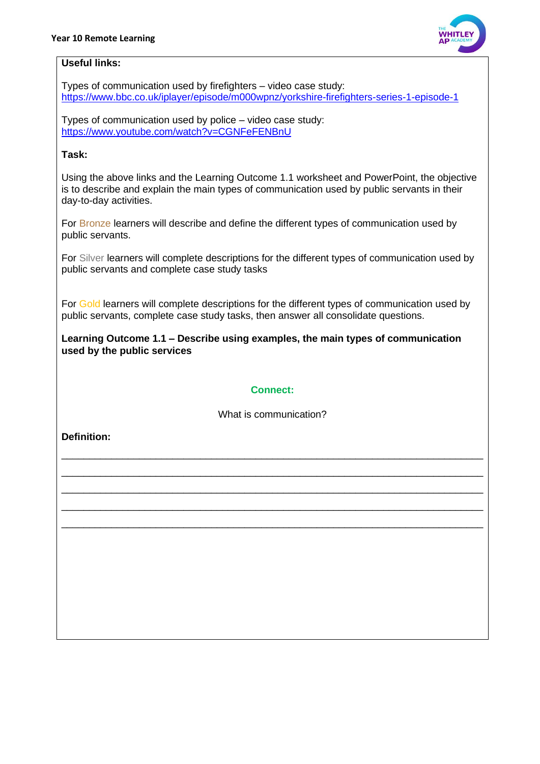

# **Useful links:**

Types of communication used by firefighters – video case study: <https://www.bbc.co.uk/iplayer/episode/m000wpnz/yorkshire-firefighters-series-1-episode-1>

Types of communication used by police – video case study: <https://www.youtube.com/watch?v=CGNFeFENBnU>

# **Task:**

Using the above links and the Learning Outcome 1.1 worksheet and PowerPoint, the objective is to describe and explain the main types of communication used by public servants in their day-to-day activities.

For Bronze learners will describe and define the different types of communication used by public servants.

For Silver learners will complete descriptions for the different types of communication used by public servants and complete case study tasks

For Gold learners will complete descriptions for the different types of communication used by public servants, complete case study tasks, then answer all consolidate questions.

**Learning Outcome 1.1 – Describe using examples, the main types of communication used by the public services**

# **Connect:**

What is communication?

\_\_\_\_\_\_\_\_\_\_\_\_\_\_\_\_\_\_\_\_\_\_\_\_\_\_\_\_\_\_\_\_\_\_\_\_\_\_\_\_\_\_\_\_\_\_\_\_\_\_\_\_\_\_\_\_\_\_\_\_\_\_\_\_\_\_\_\_\_\_\_\_\_\_\_\_ \_\_\_\_\_\_\_\_\_\_\_\_\_\_\_\_\_\_\_\_\_\_\_\_\_\_\_\_\_\_\_\_\_\_\_\_\_\_\_\_\_\_\_\_\_\_\_\_\_\_\_\_\_\_\_\_\_\_\_\_\_\_\_\_\_\_\_\_\_\_\_\_\_\_\_\_ \_\_\_\_\_\_\_\_\_\_\_\_\_\_\_\_\_\_\_\_\_\_\_\_\_\_\_\_\_\_\_\_\_\_\_\_\_\_\_\_\_\_\_\_\_\_\_\_\_\_\_\_\_\_\_\_\_\_\_\_\_\_\_\_\_\_\_\_\_\_\_\_\_\_\_\_ \_\_\_\_\_\_\_\_\_\_\_\_\_\_\_\_\_\_\_\_\_\_\_\_\_\_\_\_\_\_\_\_\_\_\_\_\_\_\_\_\_\_\_\_\_\_\_\_\_\_\_\_\_\_\_\_\_\_\_\_\_\_\_\_\_\_\_\_\_\_\_\_\_\_\_\_ \_\_\_\_\_\_\_\_\_\_\_\_\_\_\_\_\_\_\_\_\_\_\_\_\_\_\_\_\_\_\_\_\_\_\_\_\_\_\_\_\_\_\_\_\_\_\_\_\_\_\_\_\_\_\_\_\_\_\_\_\_\_\_\_\_\_\_\_\_\_\_\_\_\_\_\_

**Definition:**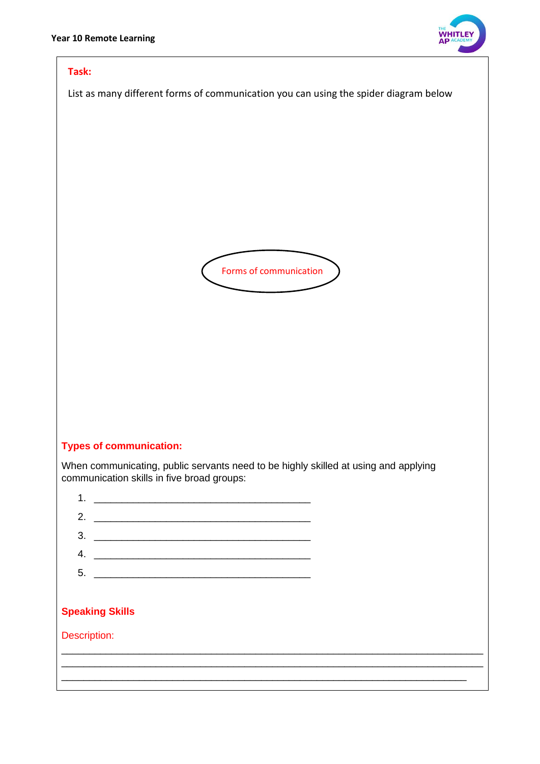

#### **Task:**

List as many different forms of communication you can using the spider diagram below



# **Types of communication:**

When communicating, public servants need to be highly skilled at using and applying communication skills in five broad groups:

| 1                      |                                                                                                                     |  |  |
|------------------------|---------------------------------------------------------------------------------------------------------------------|--|--|
| 2.                     |                                                                                                                     |  |  |
| 3.                     | <u> 1980 - John Stein, Amerikaansk politiker (* 1900)</u>                                                           |  |  |
| 4.                     | <u> 1989 - John Stein, september 1989 - John Stein, september 1989 - John Stein, september 1989 - John Stein, s</u> |  |  |
| 5.                     |                                                                                                                     |  |  |
|                        |                                                                                                                     |  |  |
| <b>Speaking Skills</b> |                                                                                                                     |  |  |
| Description:           |                                                                                                                     |  |  |
|                        |                                                                                                                     |  |  |
|                        |                                                                                                                     |  |  |
|                        |                                                                                                                     |  |  |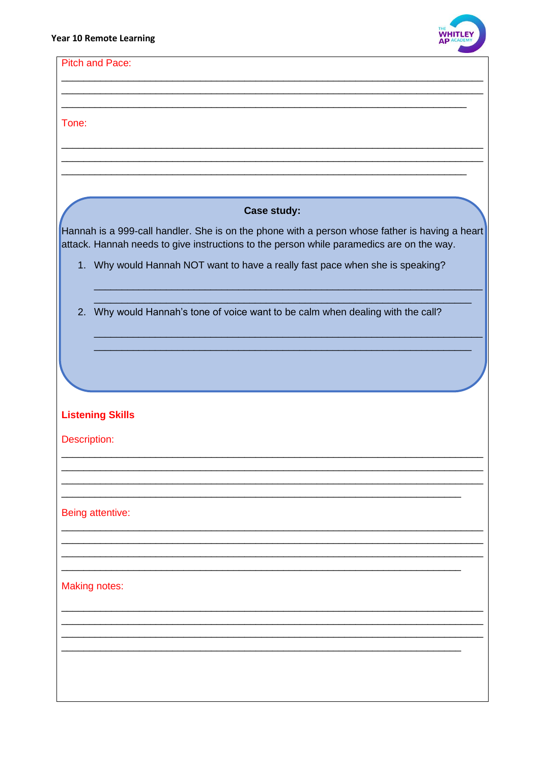

| <b>Pitch and Pace:</b>                                                                                                                                                                     |
|--------------------------------------------------------------------------------------------------------------------------------------------------------------------------------------------|
|                                                                                                                                                                                            |
|                                                                                                                                                                                            |
| Tone:                                                                                                                                                                                      |
|                                                                                                                                                                                            |
|                                                                                                                                                                                            |
|                                                                                                                                                                                            |
| <b>Case study:</b>                                                                                                                                                                         |
|                                                                                                                                                                                            |
| Hannah is a 999-call handler. She is on the phone with a person whose father is having a heart<br>attack. Hannah needs to give instructions to the person while paramedics are on the way. |
| 1. Why would Hannah NOT want to have a really fast pace when she is speaking?                                                                                                              |
|                                                                                                                                                                                            |
| 2. Why would Hannah's tone of voice want to be calm when dealing with the call?                                                                                                            |
|                                                                                                                                                                                            |
|                                                                                                                                                                                            |
|                                                                                                                                                                                            |
|                                                                                                                                                                                            |
| <b>Listening Skills</b>                                                                                                                                                                    |
| Description:                                                                                                                                                                               |
|                                                                                                                                                                                            |
|                                                                                                                                                                                            |
|                                                                                                                                                                                            |
|                                                                                                                                                                                            |
| Being attentive:                                                                                                                                                                           |
|                                                                                                                                                                                            |
|                                                                                                                                                                                            |
|                                                                                                                                                                                            |
| <b>Making notes:</b>                                                                                                                                                                       |
|                                                                                                                                                                                            |
|                                                                                                                                                                                            |
|                                                                                                                                                                                            |
|                                                                                                                                                                                            |
|                                                                                                                                                                                            |
|                                                                                                                                                                                            |
|                                                                                                                                                                                            |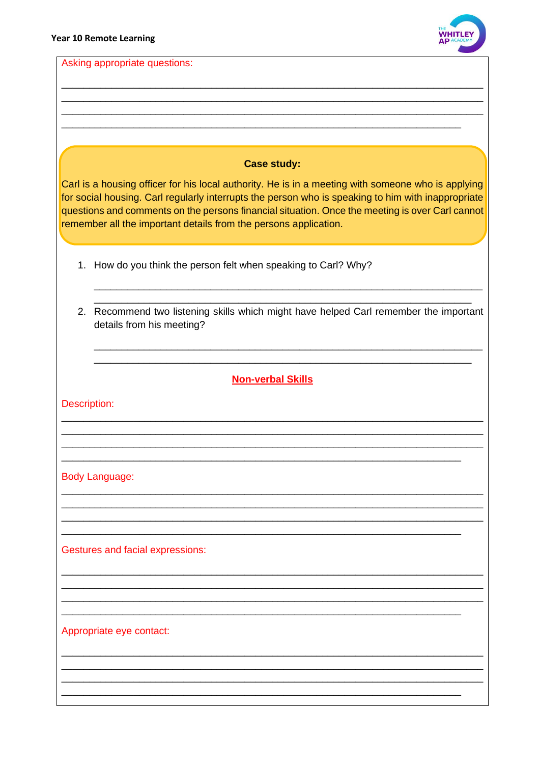

Asking appropriate questions:

# **Case study:**

Carl is a housing officer for his local authority. He is in a meeting with someone who is applying for social housing. Carl regularly interrupts the person who is speaking to him with inappropriate questions and comments on the persons financial situation. Once the meeting is over Carl cannot remember all the important details from the persons application.

- 1. How do you think the person felt when speaking to Carl? Why?
- 2. Recommend two listening skills which might have helped Carl remember the important details from his meeting?

# **Non-verbal Skills**

Description:

**Body Language:** 

**Gestures and facial expressions:** 

Appropriate eye contact: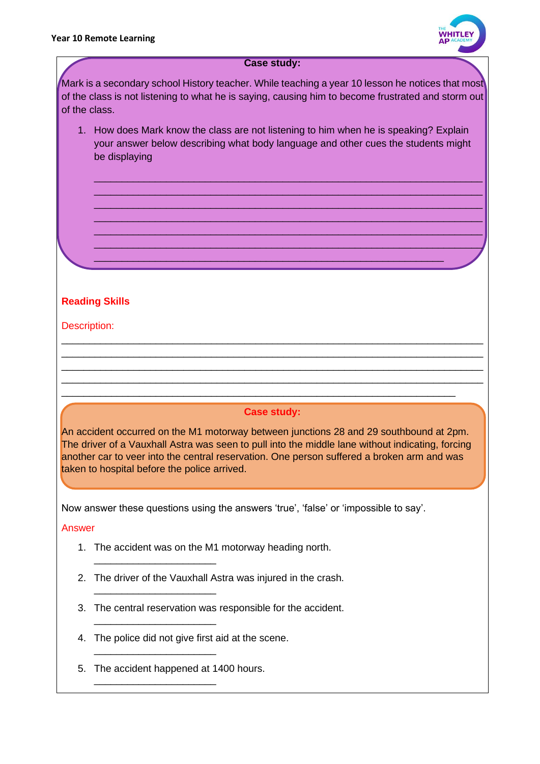

#### **Case study:**

Mark is a secondary school History teacher. While teaching a year 10 lesson he notices that most of the class is not listening to what he is saying, causing him to become frustrated and storm out of the class.

1. How does Mark know the class are not listening to him when he is speaking? Explain your answer below describing what body language and other cues the students might be displaying

\_\_\_\_\_\_\_\_\_\_\_\_\_\_\_\_\_\_\_\_\_\_\_\_\_\_\_\_\_\_\_\_\_\_\_\_\_\_\_\_\_\_\_\_\_\_\_\_\_\_\_\_\_\_\_\_\_\_\_\_\_\_\_

\_\_\_\_\_\_\_\_\_\_\_\_\_\_\_\_\_\_\_\_\_\_\_\_\_\_\_\_\_\_\_\_\_\_\_\_\_\_\_\_\_\_\_\_\_\_\_\_\_\_\_\_\_\_\_\_\_\_\_\_\_\_\_\_\_\_\_\_\_\_ \_\_\_\_\_\_\_\_\_\_\_\_\_\_\_\_\_\_\_\_\_\_\_\_\_\_\_\_\_\_\_\_\_\_\_\_\_\_\_\_\_\_\_\_\_\_\_\_\_\_\_\_\_\_\_\_\_\_\_\_\_\_\_\_\_\_\_\_\_\_ \_\_\_\_\_\_\_\_\_\_\_\_\_\_\_\_\_\_\_\_\_\_\_\_\_\_\_\_\_\_\_\_\_\_\_\_\_\_\_\_\_\_\_\_\_\_\_\_\_\_\_\_\_\_\_\_\_\_\_\_\_\_\_\_\_\_\_\_\_\_ \_\_\_\_\_\_\_\_\_\_\_\_\_\_\_\_\_\_\_\_\_\_\_\_\_\_\_\_\_\_\_\_\_\_\_\_\_\_\_\_\_\_\_\_\_\_\_\_\_\_\_\_\_\_\_\_\_\_\_\_\_\_\_\_\_\_\_\_\_\_ \_\_\_\_\_\_\_\_\_\_\_\_\_\_\_\_\_\_\_\_\_\_\_\_\_\_\_\_\_\_\_\_\_\_\_\_\_\_\_\_\_\_\_\_\_\_\_\_\_\_\_\_\_\_\_\_\_\_\_\_\_\_\_\_\_\_\_\_\_\_ \_\_\_\_\_\_\_\_\_\_\_\_\_\_\_\_\_\_\_\_\_\_\_\_\_\_\_\_\_\_\_\_\_\_\_\_\_\_\_\_\_\_\_\_\_\_\_\_\_\_\_\_\_\_\_\_\_\_\_\_\_\_\_\_\_\_\_\_\_\_

# **Reading Skills**

# Description:

# **Case study:**

\_\_\_\_\_\_\_\_\_\_\_\_\_\_\_\_\_\_\_\_\_\_\_\_\_\_\_\_\_\_\_\_\_\_\_\_\_\_\_\_\_\_\_\_\_\_\_\_\_\_\_\_\_\_\_\_\_\_\_\_\_\_\_\_\_\_\_\_\_\_\_

\_\_\_\_\_\_\_\_\_\_\_\_\_\_\_\_\_\_\_\_\_\_\_\_\_\_\_\_\_\_\_\_\_\_\_\_\_\_\_\_\_\_\_\_\_\_\_\_\_\_\_\_\_\_\_\_\_\_\_\_\_\_\_\_\_\_\_\_\_\_\_\_\_\_\_\_ \_\_\_\_\_\_\_\_\_\_\_\_\_\_\_\_\_\_\_\_\_\_\_\_\_\_\_\_\_\_\_\_\_\_\_\_\_\_\_\_\_\_\_\_\_\_\_\_\_\_\_\_\_\_\_\_\_\_\_\_\_\_\_\_\_\_\_\_\_\_\_\_\_\_\_\_ \_\_\_\_\_\_\_\_\_\_\_\_\_\_\_\_\_\_\_\_\_\_\_\_\_\_\_\_\_\_\_\_\_\_\_\_\_\_\_\_\_\_\_\_\_\_\_\_\_\_\_\_\_\_\_\_\_\_\_\_\_\_\_\_\_\_\_\_\_\_\_\_\_\_\_\_ \_\_\_\_\_\_\_\_\_\_\_\_\_\_\_\_\_\_\_\_\_\_\_\_\_\_\_\_\_\_\_\_\_\_\_\_\_\_\_\_\_\_\_\_\_\_\_\_\_\_\_\_\_\_\_\_\_\_\_\_\_\_\_\_\_\_\_\_\_\_\_\_\_\_\_\_

An accident occurred on the M1 motorway between junctions 28 and 29 southbound at 2pm. The driver of a Vauxhall Astra was seen to pull into the middle lane without indicating, forcing another car to veer into the central reservation. One person suffered a broken arm and was taken to hospital before the police arrived.

Now answer these questions using the answers 'true', 'false' or 'impossible to say'.

Answer

- 1. The accident was on the M1 motorway heading north.
- 2. The driver of the Vauxhall Astra was injured in the crash.
- 3. The central reservation was responsible for the accident.
- 4. The police did not give first aid at the scene.
- 5. The accident happened at 1400 hours.

\_\_\_\_\_\_\_\_\_\_\_\_\_\_\_\_\_\_\_\_\_\_

\_\_\_\_\_\_\_\_\_\_\_\_\_\_\_\_\_\_\_\_\_\_

\_\_\_\_\_\_\_\_\_\_\_\_\_\_\_\_\_\_\_\_\_\_

\_\_\_\_\_\_\_\_\_\_\_\_\_\_\_\_\_\_\_\_\_\_

\_\_\_\_\_\_\_\_\_\_\_\_\_\_\_\_\_\_\_\_\_\_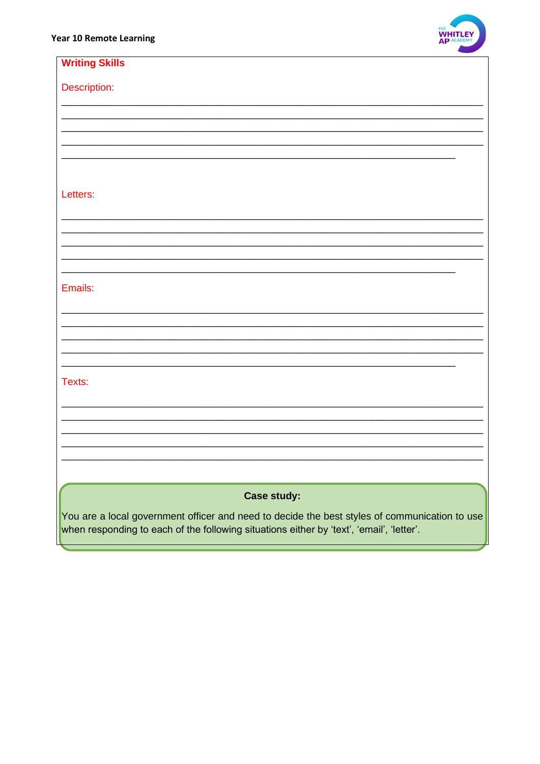

| <b>Writing Skills</b>                                                                         |
|-----------------------------------------------------------------------------------------------|
| Description:                                                                                  |
|                                                                                               |
|                                                                                               |
|                                                                                               |
|                                                                                               |
| Letters:                                                                                      |
|                                                                                               |
|                                                                                               |
|                                                                                               |
|                                                                                               |
| Emails:                                                                                       |
|                                                                                               |
|                                                                                               |
|                                                                                               |
|                                                                                               |
| Texts:                                                                                        |
|                                                                                               |
|                                                                                               |
|                                                                                               |
|                                                                                               |
| <b>Case study:</b>                                                                            |
| You are a local government officer and need to decide the best styles of communication to use |
| when responding to each of the following situations either by 'text', 'email', 'letter'.      |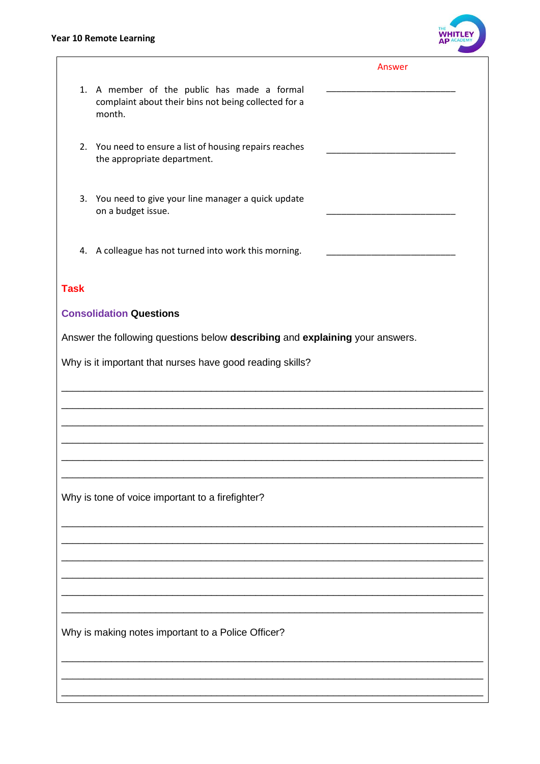# **Year 10 Remote Learning**



|             |                                                                                                               | Answer                                                                                                                |  |
|-------------|---------------------------------------------------------------------------------------------------------------|-----------------------------------------------------------------------------------------------------------------------|--|
|             | 1. A member of the public has made a formal<br>complaint about their bins not being collected for a<br>month. | <u> 1989 - Johann John Stone, markin film e shekara 1989 - Shekara 1989 - Shekara 1989 - Shekara 1989 - Shekara 1</u> |  |
|             | 2. You need to ensure a list of housing repairs reaches<br>the appropriate department.                        |                                                                                                                       |  |
| 3.          | You need to give your line manager a quick update<br>on a budget issue.                                       |                                                                                                                       |  |
|             | 4. A colleague has not turned into work this morning.                                                         |                                                                                                                       |  |
| <b>Task</b> |                                                                                                               |                                                                                                                       |  |
|             | <b>Consolidation Questions</b>                                                                                |                                                                                                                       |  |
|             | Answer the following questions below describing and explaining your answers.                                  |                                                                                                                       |  |
|             | Why is it important that nurses have good reading skills?                                                     |                                                                                                                       |  |
|             |                                                                                                               |                                                                                                                       |  |
|             |                                                                                                               |                                                                                                                       |  |
|             |                                                                                                               |                                                                                                                       |  |
|             |                                                                                                               |                                                                                                                       |  |
|             | Why is tone of voice important to a firefighter?                                                              |                                                                                                                       |  |
|             |                                                                                                               |                                                                                                                       |  |
|             |                                                                                                               |                                                                                                                       |  |
|             |                                                                                                               |                                                                                                                       |  |
|             |                                                                                                               |                                                                                                                       |  |
|             | Why is making notes important to a Police Officer?                                                            |                                                                                                                       |  |
|             |                                                                                                               |                                                                                                                       |  |
|             |                                                                                                               |                                                                                                                       |  |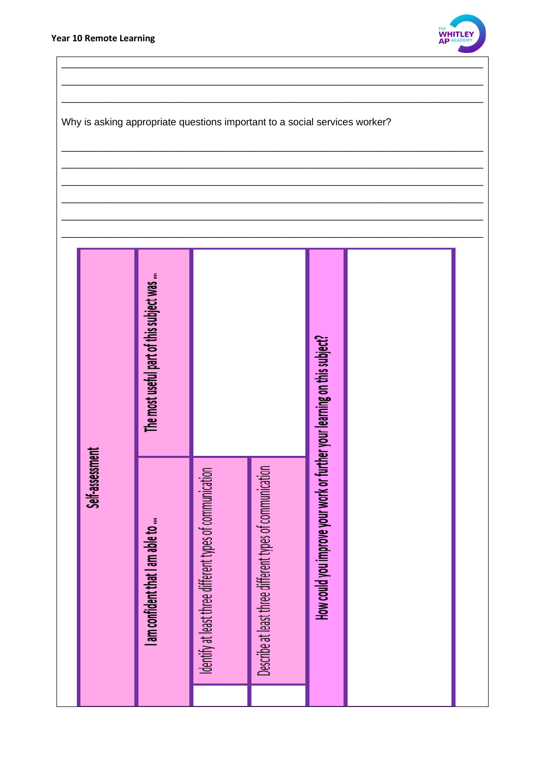

Why is asking appropriate questions important to a social services worker?

|                 | The most useful part of this subject was |                                                          |                                                          |                                                                           |  |
|-----------------|------------------------------------------|----------------------------------------------------------|----------------------------------------------------------|---------------------------------------------------------------------------|--|
| Self-assessment | I am confident that I am able to         | Identify at least three different types of communication | Describe at least three different types of communication | How could you improve your work or further your learning on this subject? |  |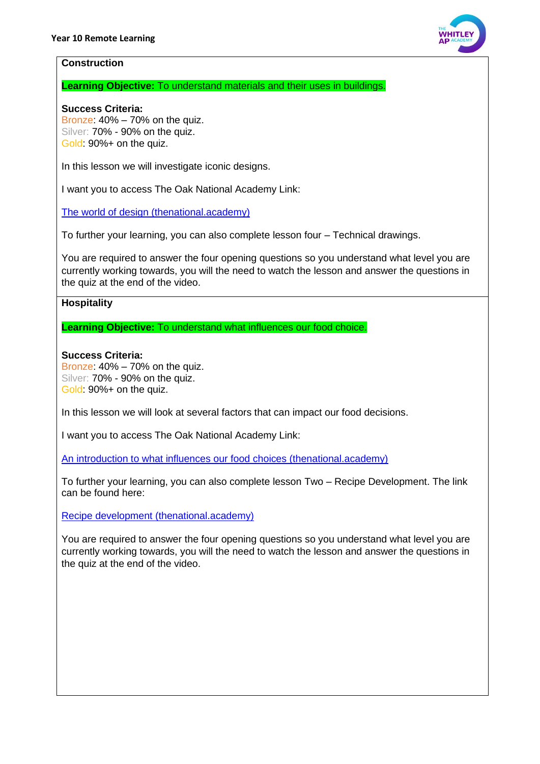

#### **Construction**

**Learning Objective:** To understand materials and their uses in buildings.

# **Success Criteria:**

Bronze: 40% – 70% on the quiz. Silver: 70% - 90% on the quiz. Gold: 90%+ on the quiz.

In this lesson we will investigate iconic designs.

I want you to access The Oak National Academy Link:

[The world of design \(thenational.academy\)](https://classroom.thenational.academy/lessons/the-world-of-design-60r34t)

To further your learning, you can also complete lesson four – Technical drawings.

You are required to answer the four opening questions so you understand what level you are currently working towards, you will the need to watch the lesson and answer the questions in the quiz at the end of the video.

# **Hospitality**

**Learning Objective:** To understand what influences our food choice.

# **Success Criteria:**

Bronze: 40% – 70% on the quiz. Silver: 70% - 90% on the quiz. Gold: 90%+ on the quiz.

In this lesson we will look at several factors that can impact our food decisions.

I want you to access The Oak National Academy Link:

[An introduction to what influences our food choices \(thenational.academy\)](https://classroom.thenational.academy/lessons/an-introduction-to-what-influences-our-food-choices-crtk8c)

To further your learning, you can also complete lesson Two – Recipe Development. The link can be found here:

[Recipe development \(thenational.academy\)](https://classroom.thenational.academy/lessons/recipe-development-71j3gt)

You are required to answer the four opening questions so you understand what level you are currently working towards, you will the need to watch the lesson and answer the questions in the quiz at the end of the video.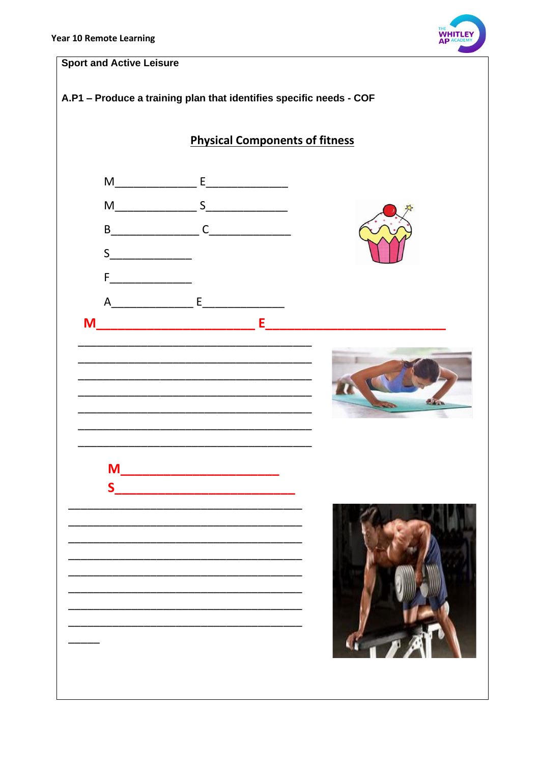

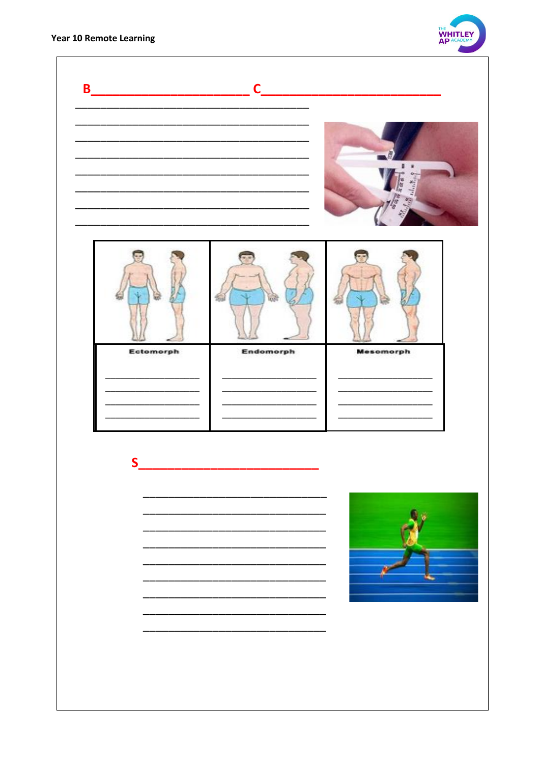

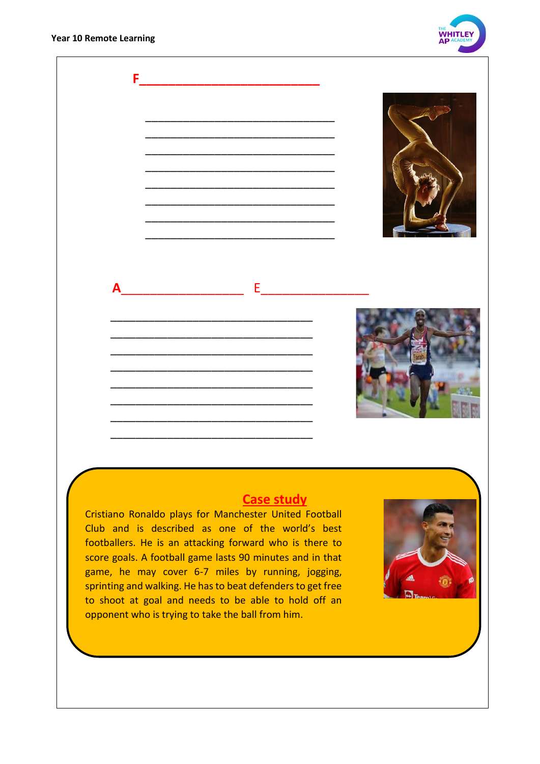**Year 10 Remote Learning** 





Cristiano Ronaldo plays for Manchester United Football Club and is described as one of the world's best footballers. He is an attacking forward who is there to score goals. A football game lasts 90 minutes and in that game, he may cover 6-7 miles by running, jogging, sprinting and walking. He has to beat defenders to get free to shoot at goal and needs to be able to hold off an opponent who is trying to take the ball from him.